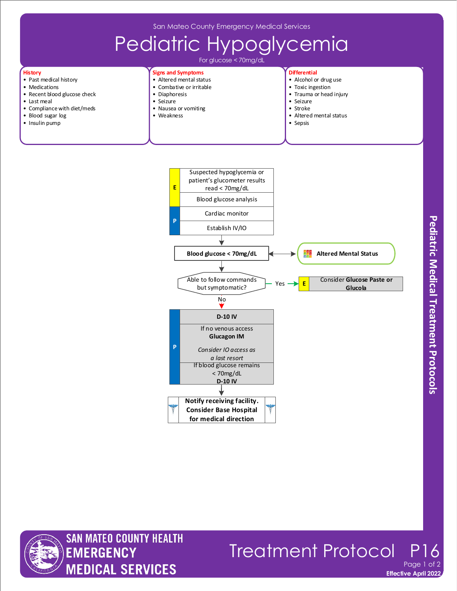San Mateo County Emergency Medical Services



Blood glucose analysis

**E** read < 70mg/dL





**History**

**Effective April 2022** Treatment Protocol Page 1